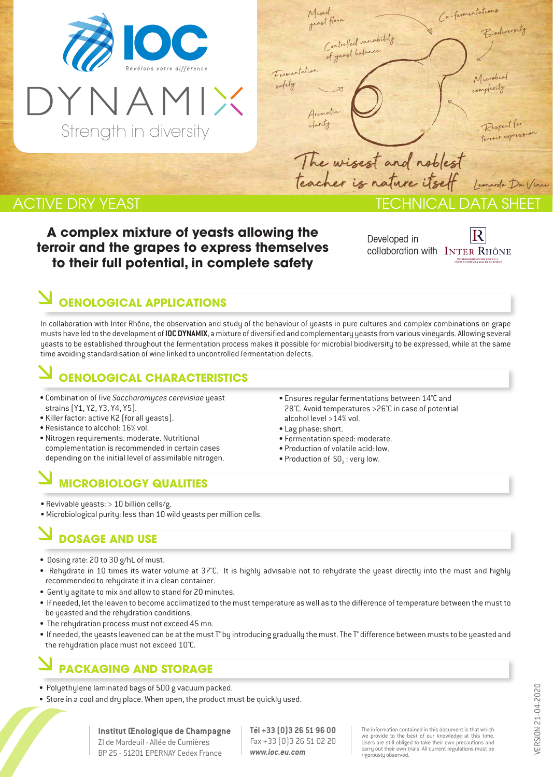

Strength in diversity

| Mixed                                      | Ca-fermentations                           |
|--------------------------------------------|--------------------------------------------|
| geast flora                                | Biodiversity                               |
| Controlled variability<br>of yeast balance |                                            |
|                                            |                                            |
| Fermentation<br>safety                     | Microbial                                  |
|                                            |                                            |
| Aramatic V                                 |                                            |
|                                            | Respect for<br>terroir expression          |
|                                            |                                            |
| The wisest and noblest                     |                                            |
|                                            | teacher is nature itself lemander Da Vinci |
|                                            | IECHNICAL DATA SHEFT                       |

### **ACTIVE DRY YEAST**

**A complex mixture of yeasts allowing the terroir and the grapes to express themselves to their full potential, in complete safety**

Developed in collaboration with INTER RHÔNE

### **OENOLOGICAL APPLICATIONS**

In collaboration with Inter Rhône, the observation and study of the behaviour of yeasts in pure cultures and complex combinations on grape musts have led to the development of **IOC DYNAMIX**, a mixture of diversified and complementary yeasts from various vineyards. Allowing several yeasts to be established throughout the fermentation process makes it possible for microbial biodiversity to be expressed, while at the same time avoiding standardisation of wine linked to uncontrolled fermentation defects.

#### **OENOLOGICAL CHARACTERISTICS**

- Combination of five *Saccharomyces cerevisiae* yeast strains (Y1, Y2, Y3, Y4, Y5).
- Killer factor: active K2 (for all yeasts).
- Resistance to alcohol: 16% vol.
- Nitrogen requirements: moderate. Nutritional complementation is recommended in certain cases depending on the initial level of assimilable nitrogen.

## **MICROBIOLOGY QUALITIES**

- Revivable yeasts: > 10 billion cells/g.
- Microbiological purity: less than 10 wild yeasts per million cells.

## **DOSAGE AND USE**

- Dosing rate: 20 to 30 g/hL of must.
- Rehydrate in 10 times its water volume at 37°C. It is highly advisable not to rehydrate the yeast directly into the must and highly recommended to rehydrate it in a clean container.
- Gently agitate to mix and allow to stand for 20 minutes.
- If needed, let the leaven to become acclimatized to the must temperature as well as to the difference of temperature between the must to be yeasted and the rehydration conditions.
- The rehydration process must not exceed 45 mn.
- If needed, the yeasts leavened can be at the must T° by introducing gradually the must. The T° difference between musts to be yeasted and the rehydration place must not exceed 10°C.

### **PACKAGING AND STORAGE**

- Polyethylene laminated bags of 500 g vacuum packed.
- Store in a cool and dry place. When open, the product must be quickly used.
- Ensures regular fermentations between 14°C and 28°C. Avoid temperatures >26°C in case of potential alcohol level >14% vol.
- Lag phase: short.
- Fermentation speed: moderate.
- Production of volatile acid: low.  $\bullet$  Production of SO<sub>2</sub>: very low.

VERSION 21-04-2020 /ERSION 21-04-2020

**Institut Œnologique de Champagne** ZI de Mardeuil - Allée de Cumières BP 25 - 51201 EPERNAY Cedex France

**Tél +33 (0)3 26 51 96 00** Fax +33 (0)3 26 51 02 20 *www.ioc.eu.com*

The information contained in this document is that which we provide to the best of our knowledge at this time. Users are still obliged to take their own precautions and carry out their own trials. All current regulations must be rigorously observed.